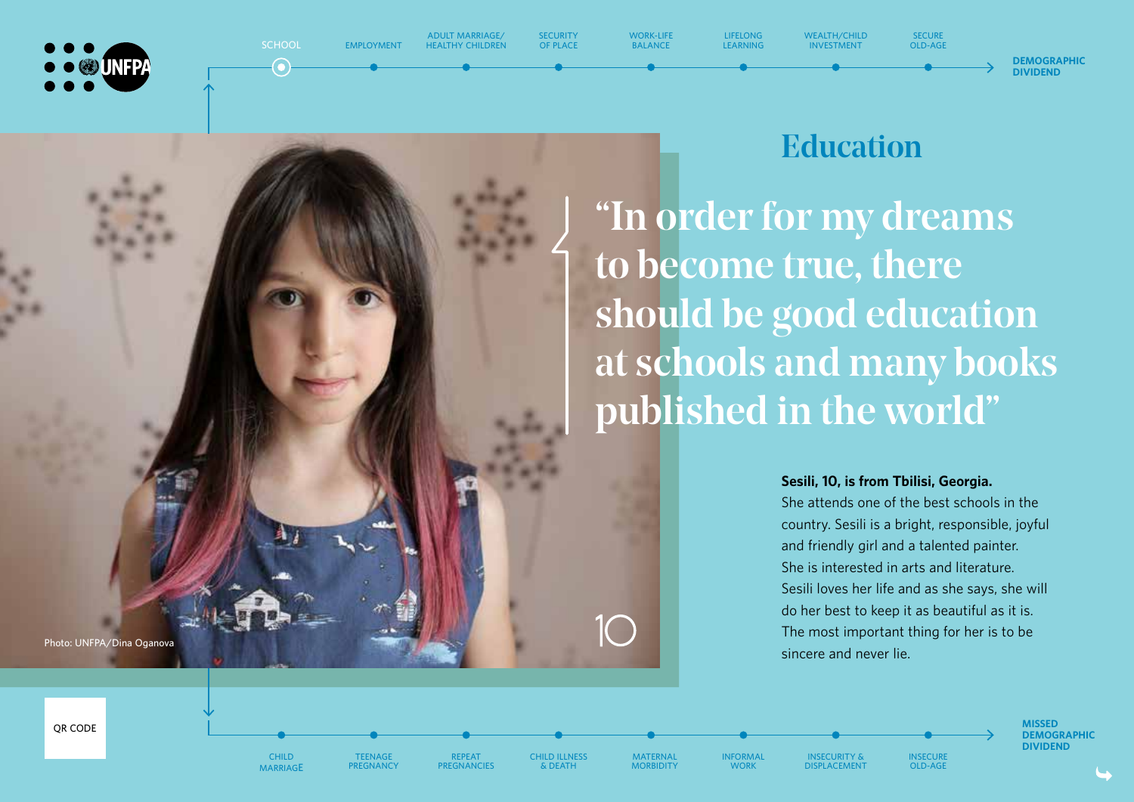**JINFPA** 



**ADULT MARRIAGE/ HEALTHY CHILDREN** **SECURITY OF PLACE**

**WORK-LIFE BALANCE**

**LIFELONG LEARNING**

**CHILD MARRIAGE**

**TEENAGE PREGNANCY**

**REPEAT PREGNANCIES** **CHILD ILLNESS & DEATH**

**MATERNAL MORBIDITY**

**INFORMAL WORK**

**INSECURITY & DISPLACEMENT**

Education

**WEALTH/CHILD INVESTMENT**

**SECURE OLD-AGE**

"In order for my dreams to become true, there should be good education at schools and many books published in the world"

#### **Sesili, 10, is from Tbilisi, Georgia.**

She attends one of the best schools in the country. Sesili is a bright, responsible, joyful and friendly girl and a talented painter. She is interested in arts and literature. Sesili loves her life and as she says, she will do her best to keep it as beautiful as it is. The most important thing for her is to be sincere and never lie.

> **INSECURE OLD-AGE**

**Photo: UNFPA/Dina Oganova**

**MISSED DEMOGRAPHIC DIVIDEND**

**DEMOGRAPHIC DIVIDEND**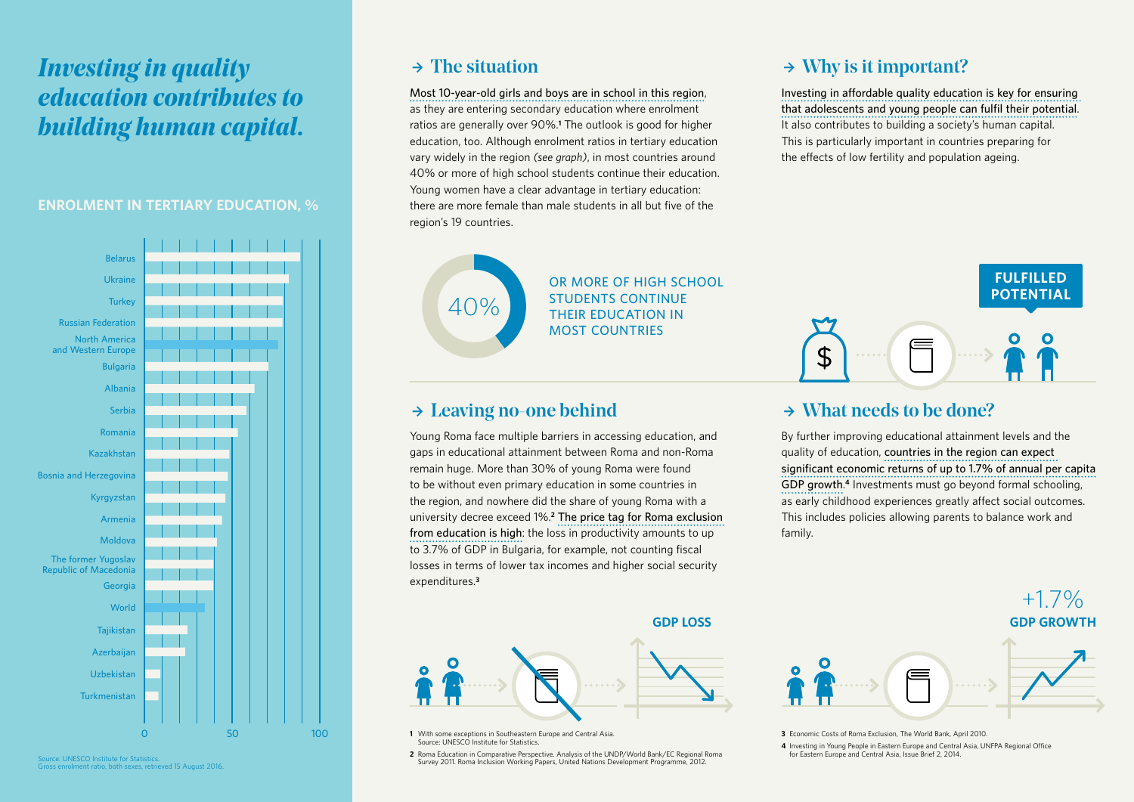### *Investing in quality education contributes to building human capital.*

#### **ENROLMENT IN TERTIARY EDUCATION, %**



Gross enrolment ratio, both sexes, retrieved 15 August 2016.

### $\rightarrow$  The situation

**Most 10-year-old girls and boys are in school in this region**, as they are entering secondary education where enrolment ratios are generally over 90%.**<sup>1</sup>** The outlook is good for higher education, too. Although enrolment ratios in tertiary education vary widely in the region *(see graph)*, in most countries around 40% or more of high school students continue their education. Young women have a clear advantage in tertiary education: there are more female than male students in all but five of the region's 19 countries.



**OR MORE OF HIGH SCHOOL STUDENTS CONTINUE THEIR EDUCATION IN MOST COUNTRIES**

### $\rightarrow$  Leaving no-one behind

Young Roma face multiple barriers in accessing education, and gaps in educational attainment between Roma and non-Roma remain huge. More than 30% of young Roma were found to be without even primary education in some countries in the region, and nowhere did the share of young Roma with a university decree exceed 1%.**<sup>2</sup> The price tag for Roma exclusion from education is high**: the loss in productivity amounts to up to 3.7% of GDP in Bulgaria, for example, not counting fiscal losses in terms of lower tax incomes and higher social security expenditures.**<sup>3</sup>**

#### **GDP LOSS GDP GROWTHAND**



**1** With some exceptions in Southeastern Europe and Central Asia. Source: UNESCO Institute for Statistics.

Source: UNESCO Institute for Statistics. Analysis of the UNDP/World Bank/EC Regional Roma for Eastern Europe and Central Asia, Issue Brief 2, 2014. Source: UNESCO Institute for Statistics. Survey 2011. Roma Inclusion Working Papers, United Nations Development Programme, 2012.

### $\rightarrow$  Why is it important?

**Investing in affordable quality education is key for ensuring**  that adolescents and young people can fulfil their potential. It also contributes to building a society's human capital. This is particularly important in countries preparing for the effects of low fertility and population ageing.



### $\rightarrow$  What needs to be done?

By further improving educational attainment levels and the quality of education, **countries in the region can expect**  significant economic returns of up to 1.7% of annual per capita **GDP growth**. **<sup>4</sup>** Investments must go beyond formal schooling, as early childhood experiences greatly affect social outcomes. This includes policies allowing parents to balance work and family.



+1.7%

**3** Economic Costs of Roma Exclusion, The World Bank, April 2010.

4 Investing in Young People in Eastern Europe and Central Asia, UNFPA Regional Office<br>for Eastern Europe and Central Asia, Issue Brief 2, 2014.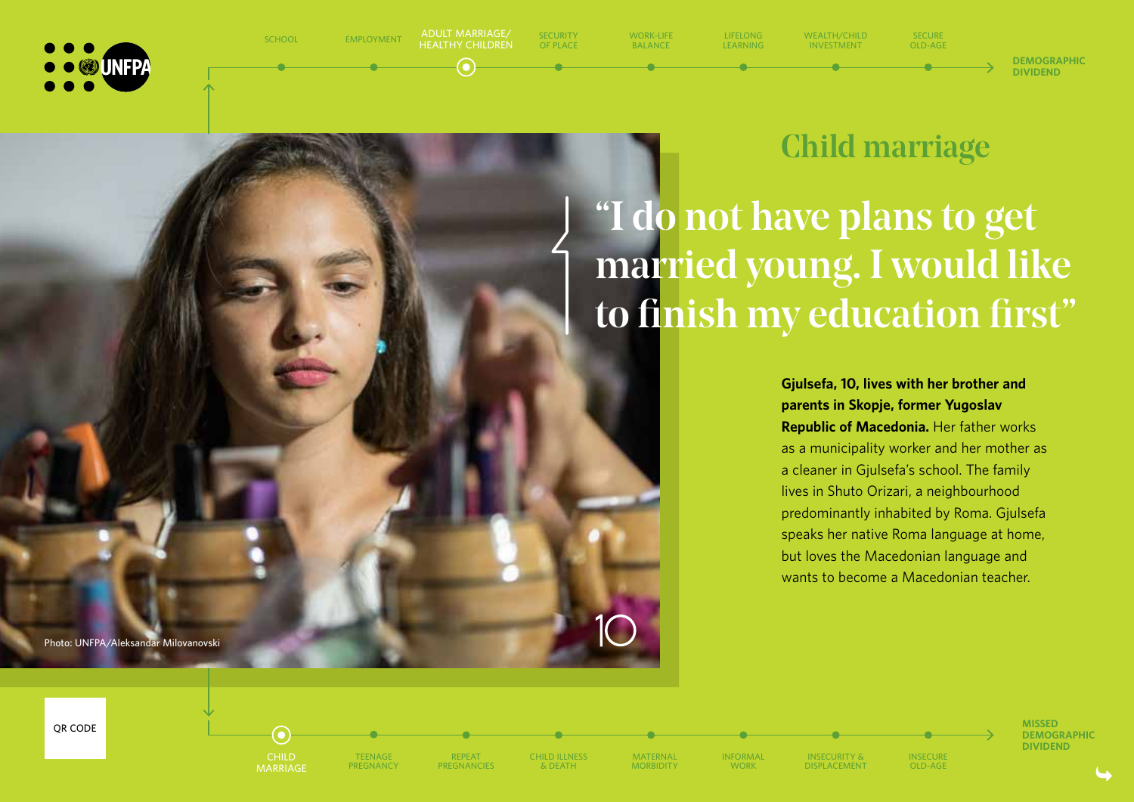



## Child marriage

"I do not have plans to get married young. I would like to finish my education first"

> **Gjulsefa, 10, lives with her brother and parents in Skopje, former Yugoslav Republic of Macedonia.** Her father works as a municipality worker and her mother as a cleaner in Gjulsefa's school. The family lives in Shuto Orizari, a neighbourhood predominantly inhabited by Roma. Gjulsefa speaks her native Roma language at home, but loves the Macedonian language and wants to become a Macedonian teacher.

**Photo: UNFPA/Aleksandar Milovanovski**



**CHILD MARRIAGE**

 $\bullet$ 

**TEENAGE PREGNANCY**



**CHILD ILLNESS & DEATH**

**MATERNAL MORBIDITY**

**INFORMAL WORK**

**INSECURITY & DISPLACEMENT** **INSECURE OLD-AGE**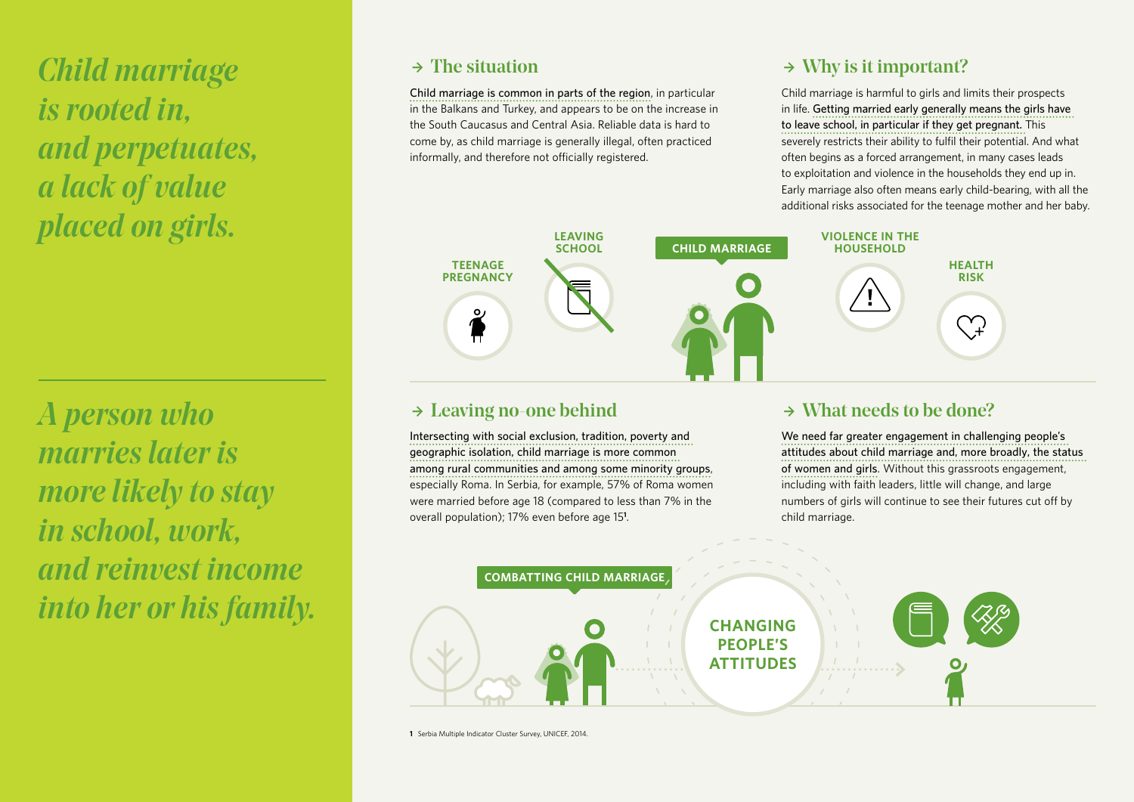*Child marriage is rooted in, and perpetuates, a lack of value placed on girls.*

*A person who marries later is more likely to stay in school, work, and reinvest income into her or his family.* 

### $\rightarrow$  The situation

**Child marriage is common in parts of the region**, in particular in the Balkans and Turkey, and appears to be on the increase in the South Caucasus and Central Asia. Reliable data is hard to come by, as child marriage is generally illegal, often practiced informally, and therefore not officially registered.

### $\rightarrow$  Why is it important?

Child marriage is harmful to girls and limits their prospects in life. **Getting married early generally means the girls have to leave school, in particular if they get pregnant.** This severely restricts their ability to fulfil their potential. And what often begins as a forced arrangement, in many cases leads to exploitation and violence in the households they end up in. Early marriage also often means early child-bearing, with all the additional risks associated for the teenage mother and her baby.



### $\rightarrow$  Leaving no-one behind

**Intersecting with social exclusion, tradition, poverty and geographic isolation, child marriage is more common among rural communities and among some minority groups**, especially Roma. In Serbia, for example, 57% of Roma women were married before age 18 (compared to less than 7% in the overall population); 17% even before age 15**<sup>1</sup>** .

### $\rightarrow$  What needs to be done?

**We need far greater engagement in challenging people's attitudes about child marriage and, more broadly, the status of women and girls**. Without this grassroots engagement, including with faith leaders, little will change, and large numbers of girls will continue to see their futures cut off by child marriage.



**1** Serbia Multiple Indicator Cluster Survey, UNICEF, 2014.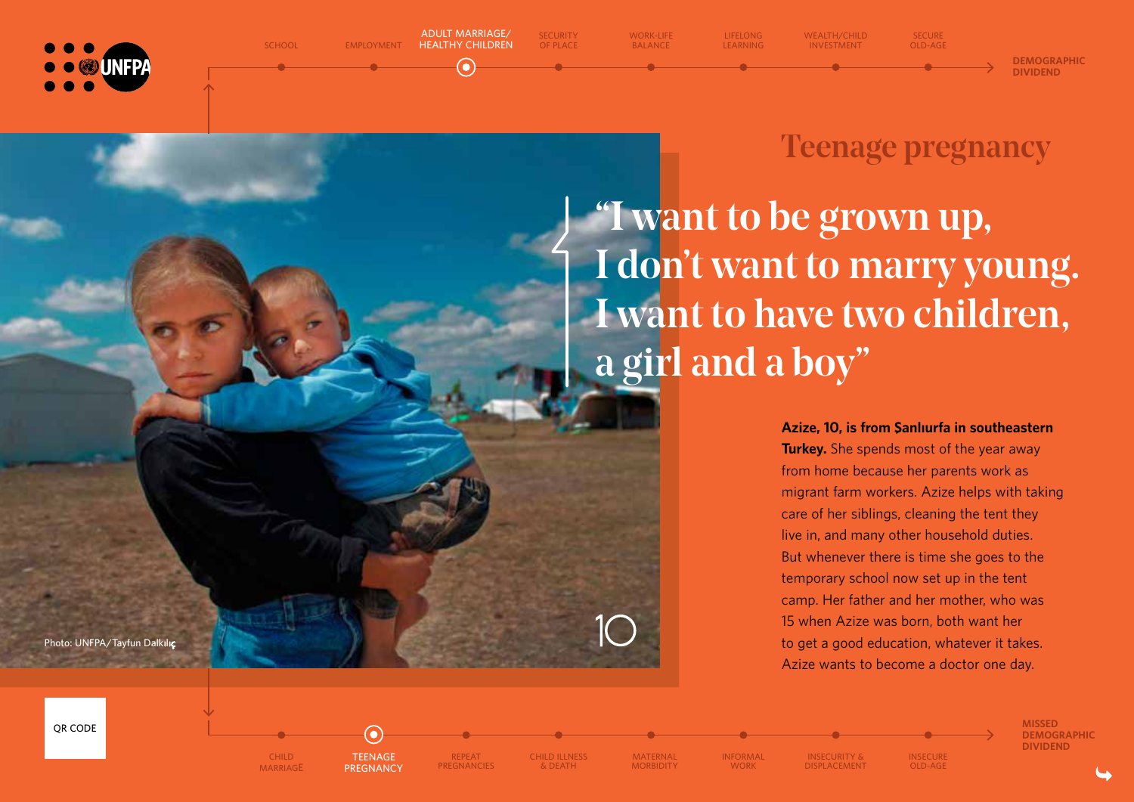

#### **EMPLOYMENT**

**SCHOOL**

**HEALTHY CHILDREN**

0

**ADULT MARRIAGE/ SECURITY OF PLACE**

**WORK-LIFE BALANCE**

**LIFELONG LEARNING WEALTH/CHILD INVESTMENT**

**DEMOGRAPHIC DIVIDEND**

## Teenage pregnancy

**SECURE OLD-AGE**

"I want to be grown up, I don't want to marry young. I want to have two children, a girl and a boy"

> **Azize, 10, is from ¸ Sanlıurfa in southeastern Turkey.** She spends most of the year away from home because her parents work as migrant farm workers. Azize helps with taking care of her siblings, cleaning the tent they live in, and many other household duties. But whenever there is time she goes to the temporary school now set up in the tent camp. Her father and her mother, who was 15 when Azize was born, both want her to get a good education, whatever it takes. Azize wants to become a doctor one day.

> > **INSECURE OLD-AGE**

**Photo: UNFPA/Tayfun Dalk**ı**l**ıç

**QR CODE**

**CHILD** 

**MARRIAGE**

**TEENAGE PREGNANCY**

 $\left( \bullet \right)$ 

**REPEAT PREGNANCIES**

**CHILD ILLNESS & DEATH**

**INFORMAL WORK**

**MATERNAL MORBIDITY**

**INSECURITY & DISPLACEMENT**

**MISSED DEMOGRAPHIC DIVIDEND**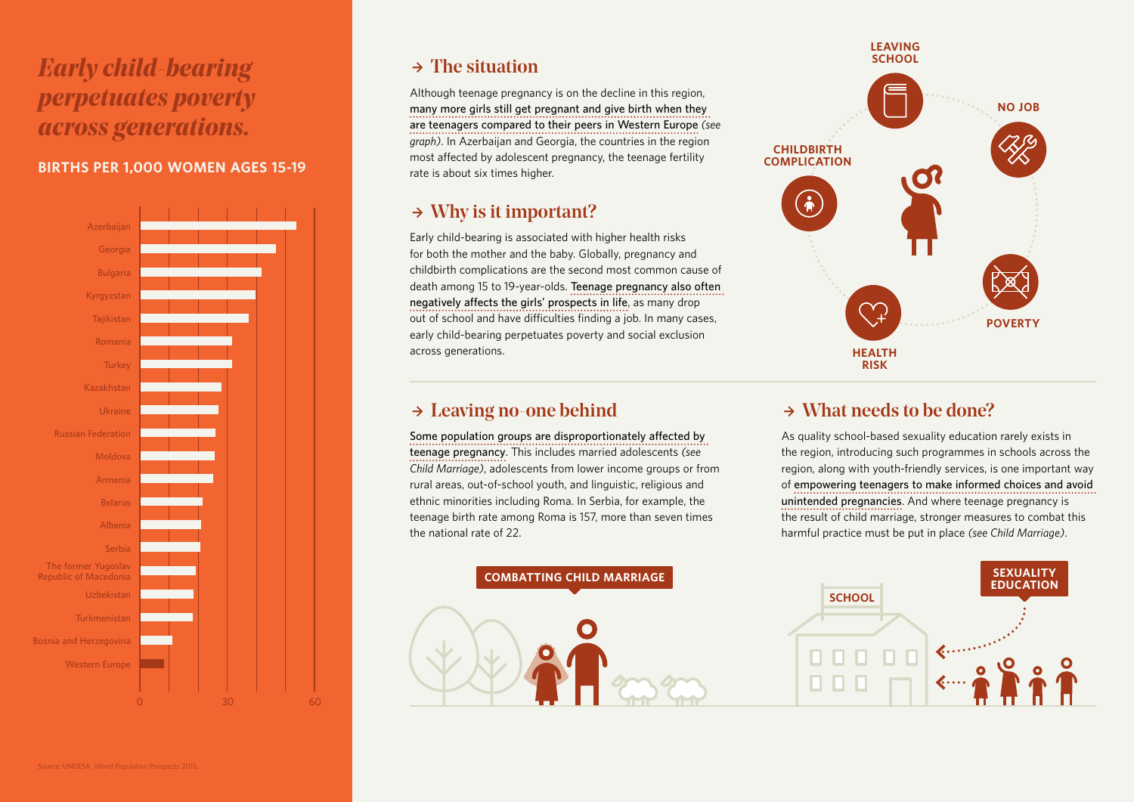## *Early child-bearing perpetuates poverty across generations.*

### **BIRTHS PER 1,000 WOMEN AGES 15-19**



### $\rightarrow$  The situation

Although teenage pregnancy is on the decline in this region, **many more girls still get pregnant and give birth when they are teenagers compared to their peers in Western Europe** *(see graph)*. In Azerbaijan and Georgia, the countries in the region most affected by adolescent pregnancy, the teenage fertility rate is about six times higher.

### $\rightarrow$  Why is it important?

Early child-bearing is associated with higher health risks for both the mother and the baby. Globally, pregnancy and childbirth complications are the second most common cause of death among 15 to 19-year-olds. **Teenage pregnancy also often negatively affects the girls' prospects in life**, as many drop out of school and have difficulties finding a job. In many cases, early child-bearing perpetuates poverty and social exclusion across generations.

### $\rightarrow$  Leaving no-one behind

**Some population groups are disproportionately affected by teenage pregnancy**. This includes married adolescents *(see Child Marriage)*, adolescents from lower income groups or from rural areas, out-of-school youth, and linguistic, religious and ethnic minorities including Roma. In Serbia, for example, the teenage birth rate among Roma is 157, more than seven times the national rate of 22.





 $\rightarrow$  What needs to be done?

As quality school-based sexuality education rarely exists in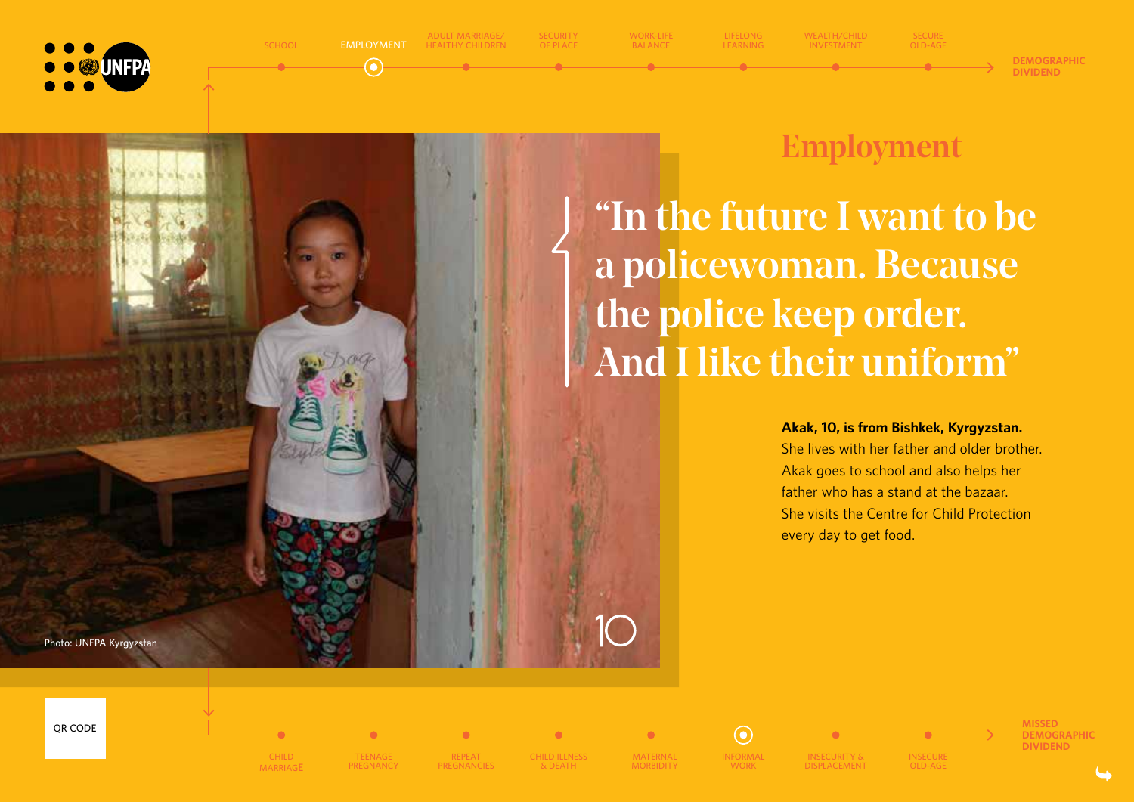



 $\odot$ 

**ADULT MARRIAGE/ HEALTHY CHILDREN** **SECURITY OF PLACE WORK-LIFE BALANCE**

**LIFELONG WEALTH/CHILD INVESTMENT**

**DEMOGRAPHIC DIVIDEND**

## Employment

**SECURE OLD-AGE**

"In the future I want to be a policewoman. Because the police keep order. And I like their uniform"

#### **Akak, 10, is from Bishkek, Kyrgyzstan.**

She lives with her father and older brother. Akak goes to school and also helps her father who has a stand at the bazaar. She visits the Centre for Child Protection every day to get food.

**Photo: UNFPA Kyrgyzstan**













**CHILD ILLNESS & DEATH**

**MATERNAL MORBIDITY** **INFORMAL WORK**

 $\odot$ 

**INSECURITY & DISPLACEMENT**

**INSECURE OLD-AGE**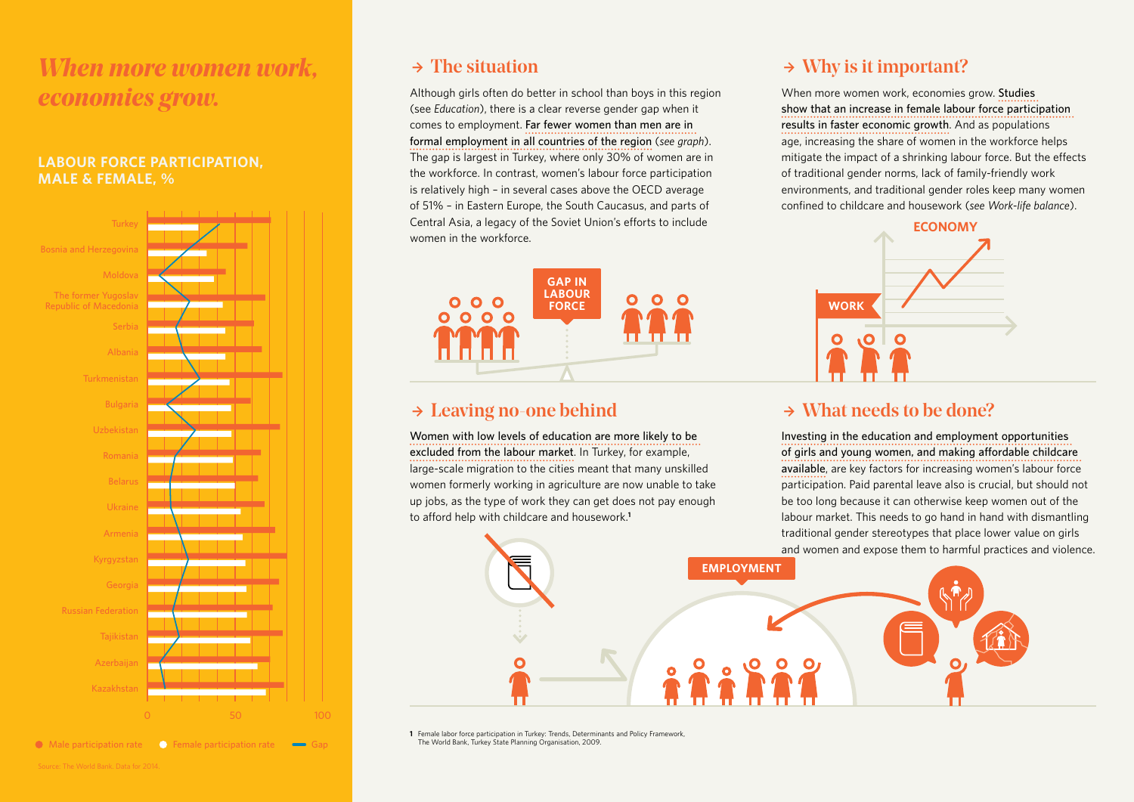## *When more women work, economies grow.*

#### **LABOUR FORCE PARTICIPATION, MALE & FEMALE, %**



**O** Male participation rate **G** Female participation rate

### $\rightarrow$  The situation

Although girls often do better in school than boys in this region (see *Education*), there is a clear reverse gender gap when it comes to employment. **Far fewer women than men are in formal employment in all countries of the region** (*see graph*). The gap is largest in Turkey, where only 30% of women are in the workforce. In contrast, women's labour force participation is relatively high – in several cases above the OECD average of 51% – in Eastern Europe, the South Caucasus, and parts of Central Asia, a legacy of the Soviet Union's efforts to include women in the workforce.



### $\rightarrow$  Leaving no-one behind

**Women with low levels of education are more likely to be excluded from the labour market**. In Turkey, for example, large-scale migration to the cities meant that many unskilled women formerly working in agriculture are now unable to take up jobs, as the type of work they can get does not pay enough to afford help with childcare and housework.**<sup>1</sup>**

### $\rightarrow$  Why is it important?

When more women work, economies grow. **Studies show that an increase in female labour force participation results in faster economic growth**. And as populations age, increasing the share of women in the workforce helps mitigate the impact of a shrinking labour force. But the effects of traditional gender norms, lack of family-friendly work environments, and traditional gender roles keep many women confined to childcare and housework (see Work-life balance).



### $\rightarrow$  What needs to be done?

**Investing in the education and employment opportunities of girls and young women, and making affordable childcare available**, are key factors for increasing women's labour force participation. Paid parental leave also is crucial, but should not be too long because it can otherwise keep women out of the labour market. This needs to go hand in hand with dismantling traditional gender stereotypes that place lower value on girls and women and expose them to harmful practices and violence.



**1** Female labor force participation in Turkey: Trends, Determinants and Policy Framework, The World Bank, Turkey State Planning Organisation, 2009.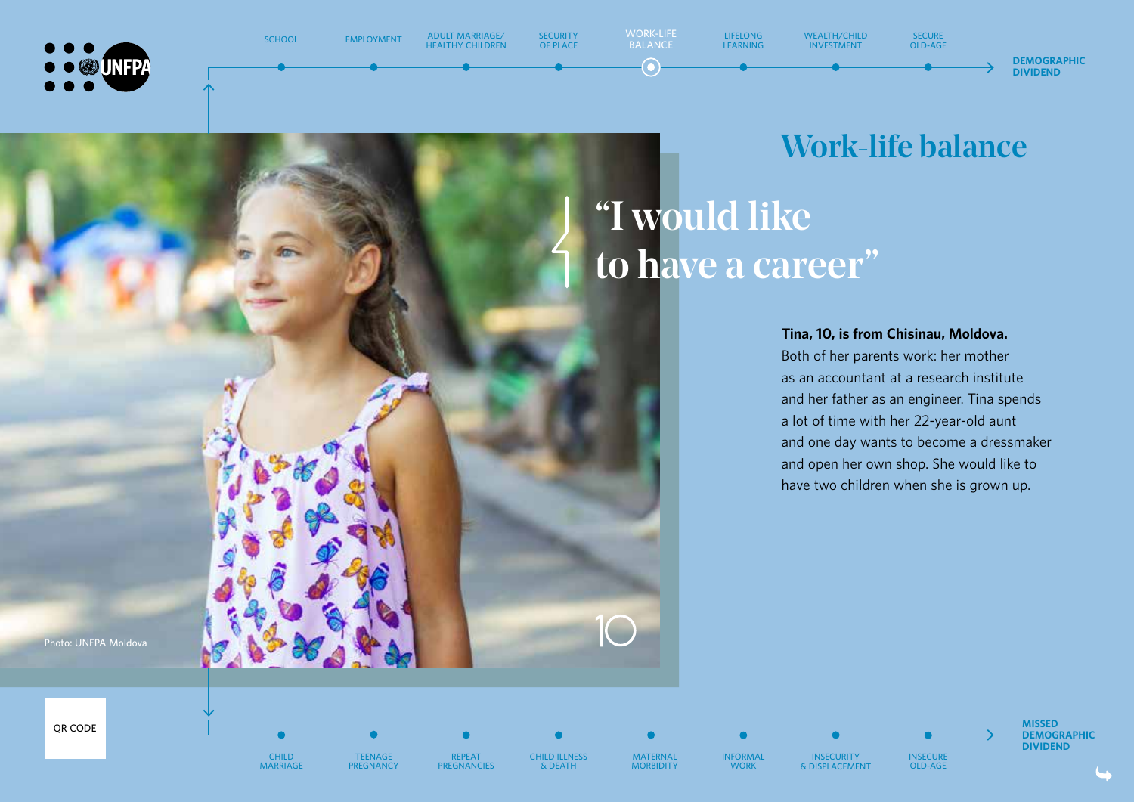



**SCHOOL**

**HEALTHY CHILDREN**

**SECURITY OF PLACE WORK-LIFE BALANCE**

**LIFELONG LEARNING WEALTH/CHILD INVESTMENT**

**SECURE OLD-AGE**

#### **DEMOGRAPHIC DIVIDEND**

"I would like to have a career" Work-life balance

#### **Tina, 10, is from Chisinau, Moldova.**

Both of her parents work: her mother as an accountant at a research institute and her father as an engineer. Tina spends a lot of time with her 22-year-old aunt and one day wants to become a dressmaker and open her own shop. She would like to have two children when she is grown up.

> **INSECURE OLD-AGE**

**Photo: UNFPA Moldova**



**CHILD MARRIAGE**

**TEENAGE PREGNANCY**

**REPEAT PREGNANCIES** **CHILD ILLNESS & DEATH**

**MATERNAL MORBIDITY**

 $\bigcap$ 

**INFORMAL WORK**

**INSECURITY & DISPLACEMENT** **MISSED DEMOGRAPHIC DIVIDEND**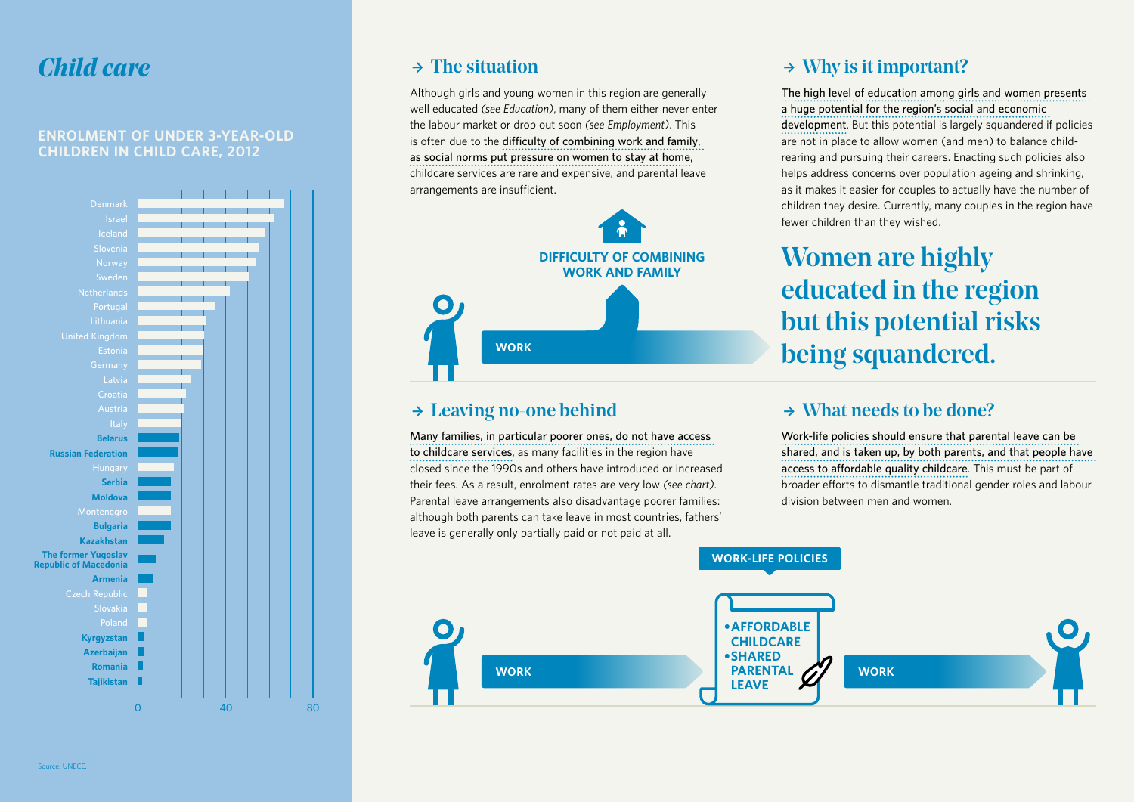### *Child care*

#### **ENROLMENT OF UNDER 3-YEAR-OLD CHILDREN IN CHILD CARE, 2012**



### $\rightarrow$  The situation

Although girls and young women in this region are generally well educated *(see Education)*, many of them either never enter the labour market or drop out soon *(see Employment)*. This is often due to the difficulty of combining work and family, **as social norms put pressure on women to stay at home**, childcare services are rare and expensive, and parental leave arrangements are insufficient.



### $\rightarrow$  Leaving no-one behind

**Many families, in particular poorer ones, do not have access to childcare services**, as many facilities in the region have closed since the 1990s and others have introduced or increased their fees. As a result, enrolment rates are very low *(see chart)*. Parental leave arrangements also disadvantage poorer families: although both parents can take leave in most countries, fathers' leave is generally only partially paid or not paid at all.

### $\rightarrow$  Why is it important?

**The high level of education among girls and women presents a huge potential for the region's social and economic development**. But this potential is largely squandered if policies are not in place to allow women (and men) to balance childrearing and pursuing their careers. Enacting such policies also helps address concerns over population ageing and shrinking, as it makes it easier for couples to actually have the number of children they desire. Currently, many couples in the region have fewer children than they wished.

## Women are highly educated in the region but this potential risks being squandered.

### $\rightarrow$  What needs to be done?

**Work-life policies should ensure that parental leave can be shared, and is taken up, by both parents, and that people have access to affordable quality childcare**. This must be part of broader efforts to dismantle traditional gender roles and labour division between men and women.

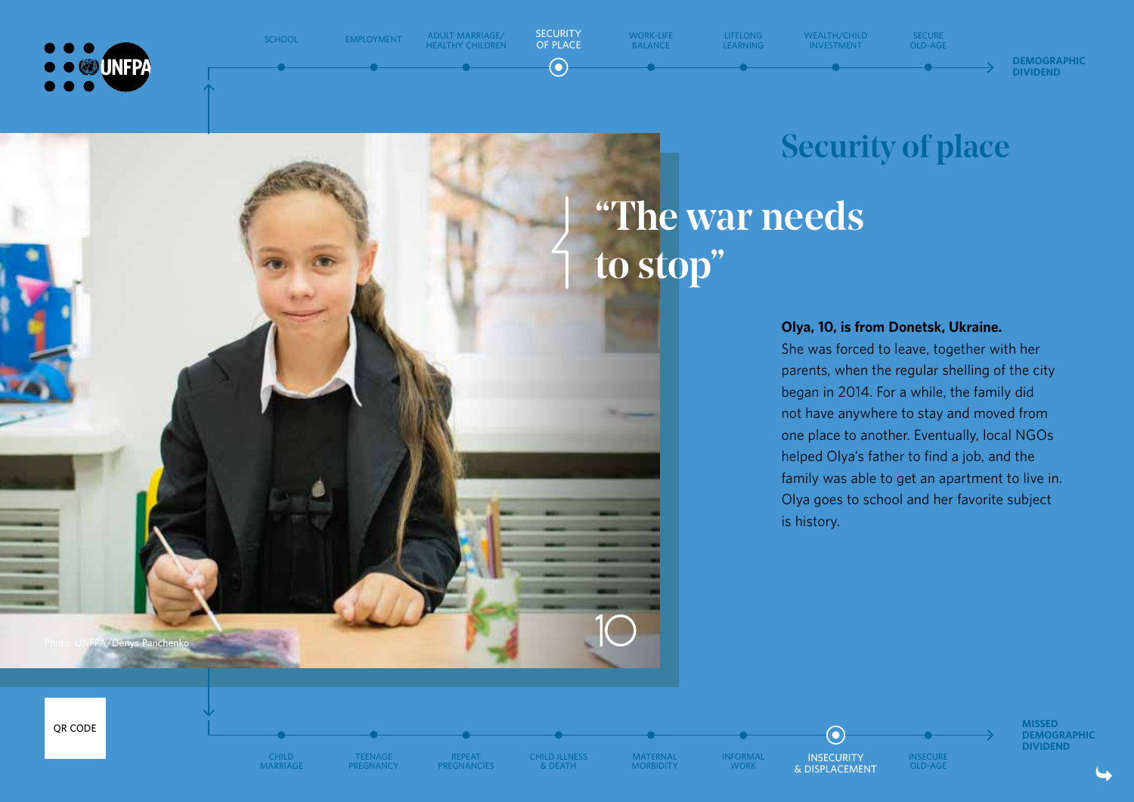

**Photo: UNFPA/Denys Panchenko**

**SCHOOL**

**EMPLOYMENT ADULT MARRIAGE/**

**HEALTHY CHILDREN**



 $\odot$ 

**LIFELONG LEARNING**

**WEALTH/CHILD INVESTMENT**

**SECURE OLD-AGE**



"The war needs to stop" Security of place

#### **Olya, 10, is from Donetsk, Ukraine.**

She was forced to leave, together with her parents, when the regular shelling of the city began in 2014. For a while, the family did not have anywhere to stay and moved from one place to another. Eventually, local NGOs helped Olya's father to find a job, and the family was able to get an apartment to live in. Olya goes to school and her favorite subject is history.

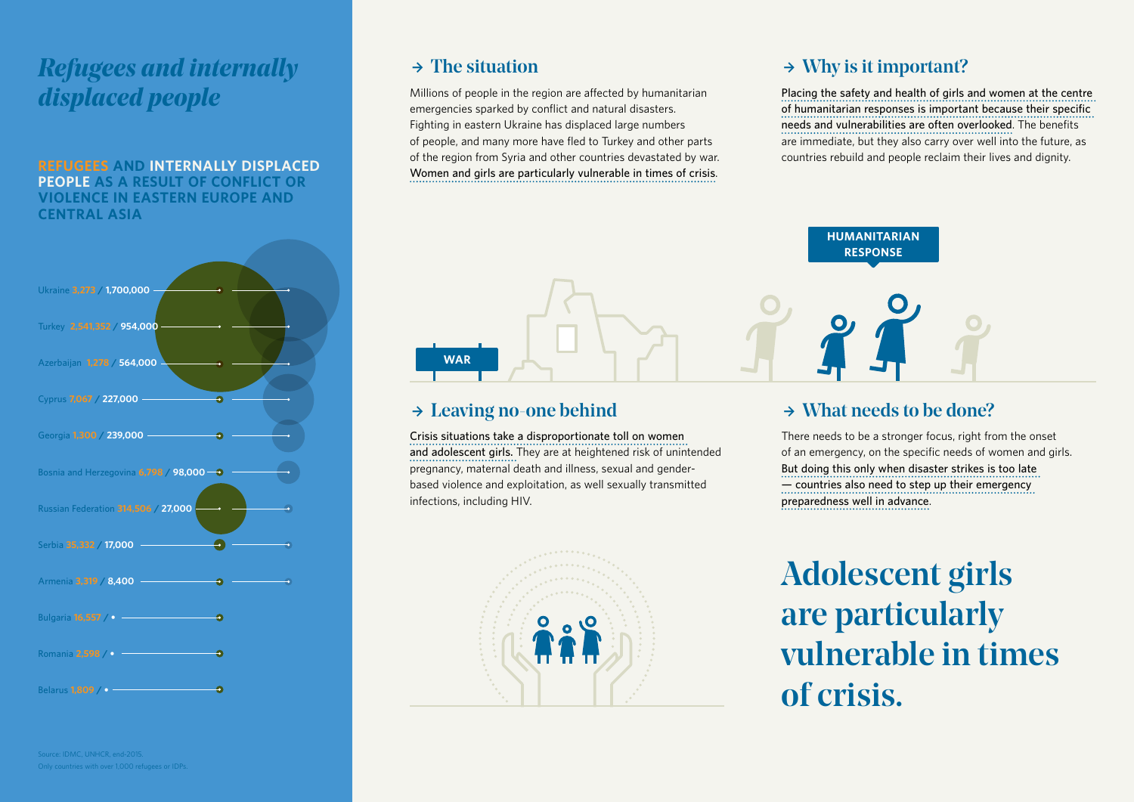## *Refugees and internally displaced people*

**REFUGEES AND INTERNALLY DISPLACED PEOPLE AS A RESULT OF CONFLICT OR VIOLENCE IN EASTERN EUROPE AND CENTRAL ASIA**



Only countries with over 1,000 refugees or IDPs.

### $\rightarrow$  The situation

Millions of people in the region are affected by humanitarian emergencies sparked by conflict and natural disasters. Fighting in eastern Ukraine has displaced large numbers of people, and many more have fled to Turkey and other parts of the region from Syria and other countries devastated by war. **Women and girls are particularly vulnerable in times of crisis**.

### $\rightarrow$  Why is it important?

**Placing the safety and health of girls and women at the centre**  of humanitarian responses is important because their specific needs and vulnerabilities are often overlooked. The benefits are immediate, but they also carry over well into the future, as countries rebuild and people reclaim their lives and dignity.



### $\rightarrow$  Leaving no-one behind

**Crisis situations take a disproportionate toll on women and adolescent girls.** They are at heightened risk of unintended pregnancy, maternal death and illness, sexual and genderbased violence and exploitation, as well sexually transmitted infections, including HIV.



### $\rightarrow$  What needs to be done?

There needs to be a stronger focus, right from the onset of an emergency, on the specific needs of women and girls. **But doing this only when disaster strikes is too late — countries also need to step up their emergency preparedness well in advance**.

Adolescent girls are particularly vulnerable in times of crisis.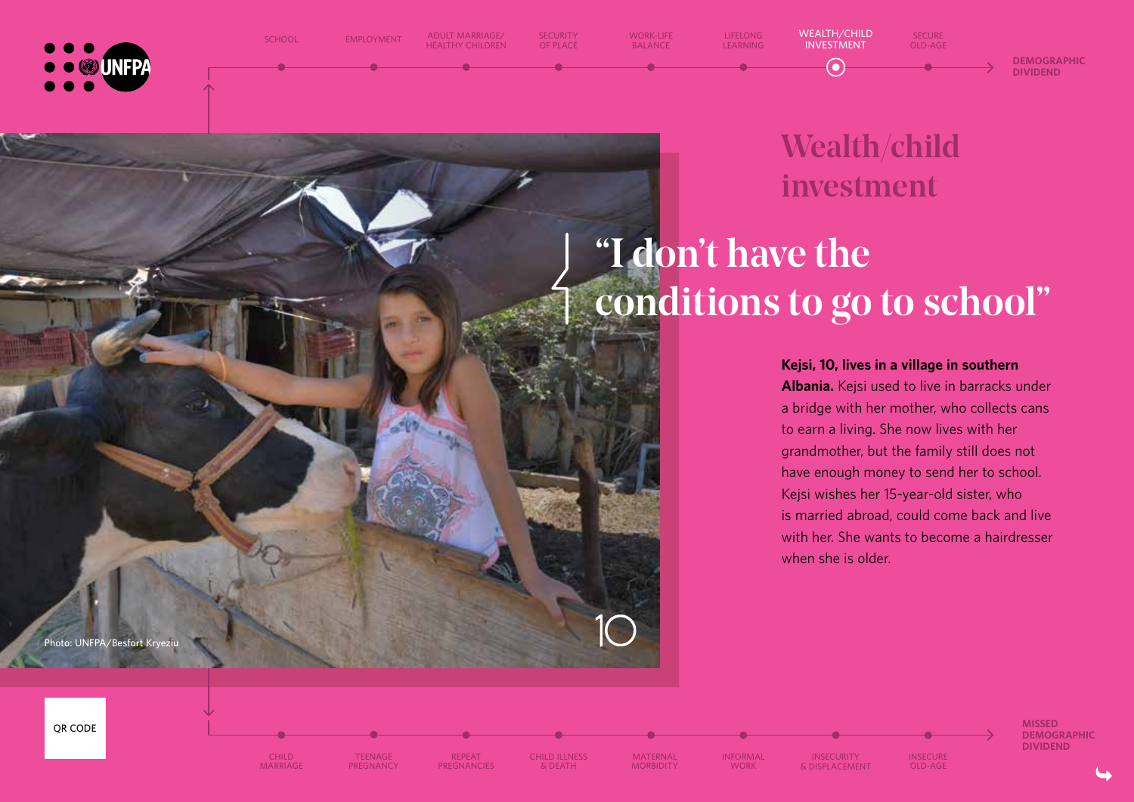

**SCHOOL**

**EMPLOYMENT ADULT MARRIAGE/**

**HEALTHY CHILDREN**

**SECURITY OF PLACE**

**WORK-LIFE BALANCE**

**LIFELONG LEARNING**

**MARRIAGE**

**TEENAGE PREGNANCY**

**REPEAT PREGNANCIES** **CHILD ILLNESS & DEATH**

**MATERNAL MORBIDITY** **INFORMAL WORK**

**INSECURITY & DISPLACEMENT**

Wealth/child investment

**SECURE OLD-AGE**

# "I don't have the conditions to go to school"

**WEALTH/CHILD INVESTMENT**

 $\bullet$ 

**Kejsi, 10, lives in a village in southern Albania.** Kejsi used to live in barracks under a bridge with her mother, who collects cans to earn a living. She now lives with her grandmother, but the family still does not have enough money to send her to school. Kejsi wishes her 15-year-old sister, who is married abroad, could come back and live with her. She wants to become a hairdresser when she is older.

> **INSECURE OLD-AGE**

**Photo: UNFPA/Besfort Kryeziu**

**MISSED DEMOGRAPHIC DIVIDEND**

**DEMOGRAPHIC DIVIDEND**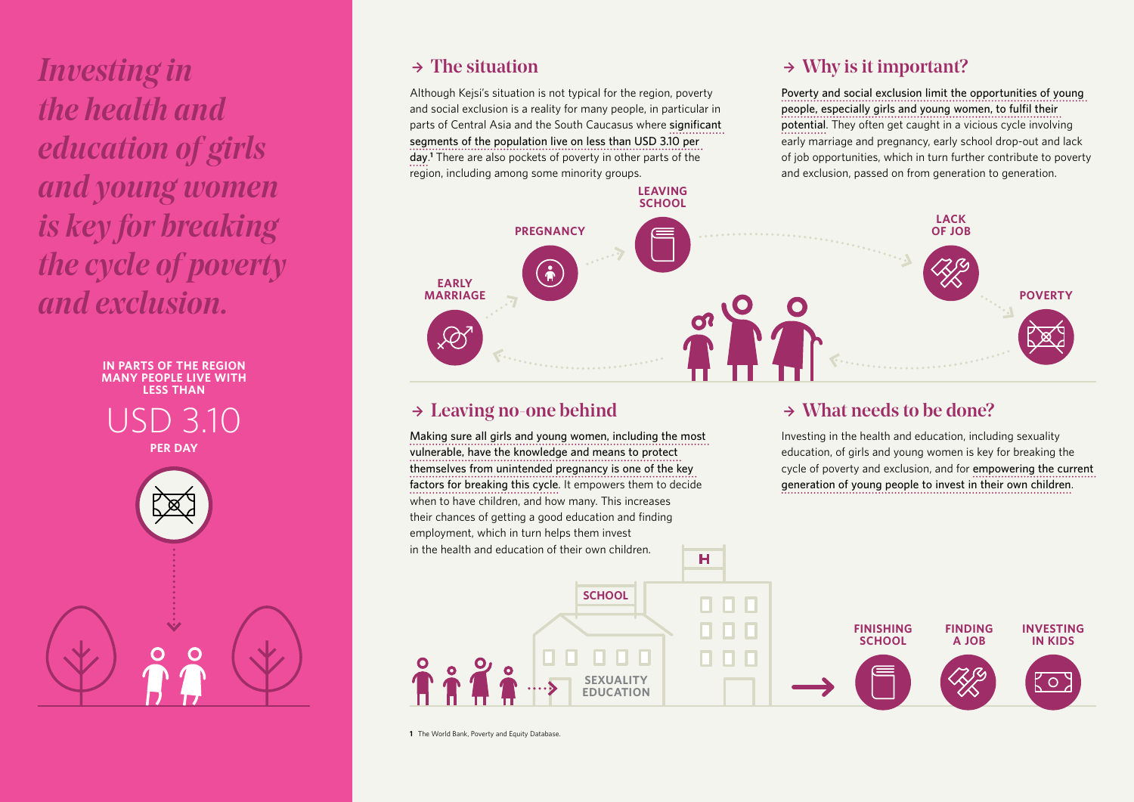*Investing in the health and education of girls and young women is key for breaking the cycle of poverty and exclusion.*



### $\rightarrow$  The situation

Although Kejsi's situation is not typical for the region, poverty and social exclusion is a reality for many people, in particular in parts of Central Asia and the South Caucasus where significant **segments of the population live on less than USD 3.10 per day**. **1** There are also pockets of poverty in other parts of the region, including among some minority groups.

### $\rightarrow$  Why is it important?

**Poverty and social exclusion limit the opportunities of young**  people, especially girls and young women, to fulfil their **potential**. They often get caught in a vicious cycle involving early marriage and pregnancy, early school drop-out and lack of job opportunities, which in turn further contribute to poverty and exclusion, passed on from generation to generation.



### $\rightarrow$  Leaving no-one behind

**Making sure all girls and young women, including the most vulnerable, have the knowledge and means to protect themselves from unintended pregnancy is one of the key factors for breaking this cycle**. It empowers them to decide when to have children, and how many. This increases their chances of getting a good education and finding employment, which in turn helps them invest in the health and education of their own children.

### $\rightarrow$  What needs to be done?

Investing in the health and education, including sexuality education, of girls and young women is key for breaking the cycle of poverty and exclusion, and for **empowering the current generation of young people to invest in their own children**.



**1** The World Bank, Poverty and Equity Database.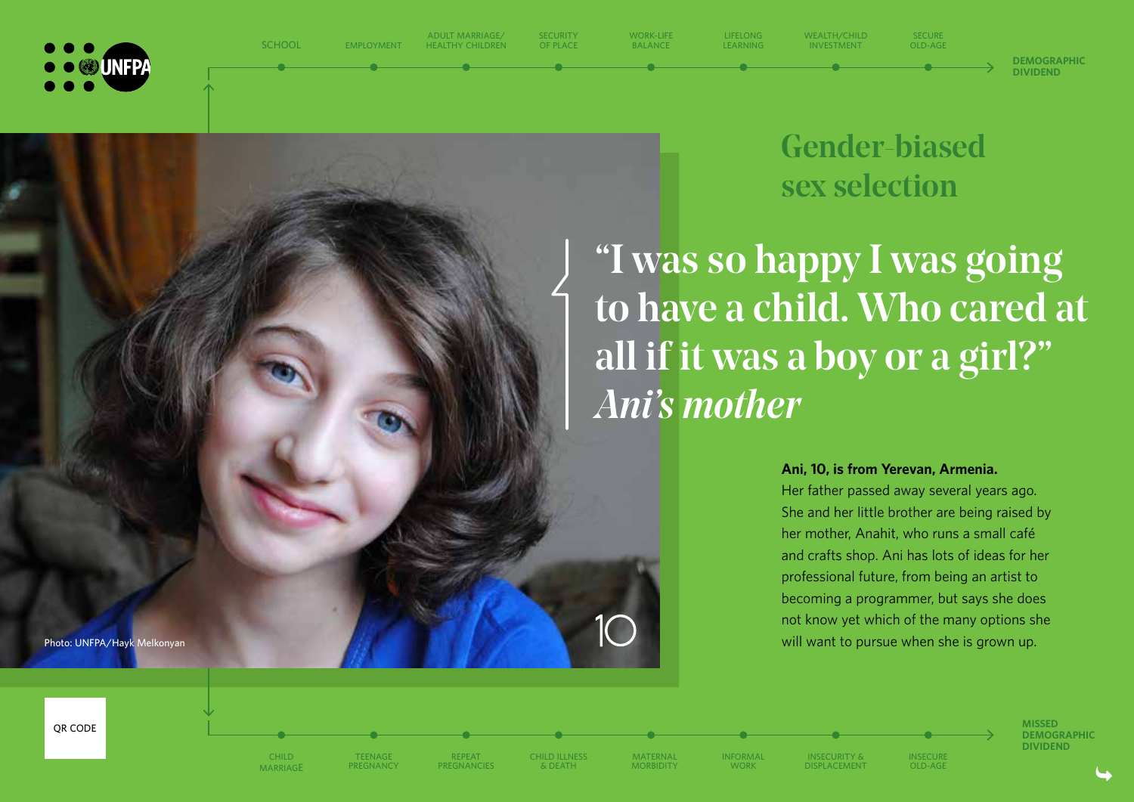

Gender-biased

**SECURE OLD-AGE**

sex selection

"I was so happy I was going to have a child. Who cared at all if it was a boy or a girl?" *Ani's mother*

**WEALTH/CHILD INVESTMENT**

**Ani, 10, is from Yerevan, Armenia.**

Her father passed away several years ago. She and her little brother are being raised by her mother, Anahit, who runs a small café and crafts shop. Ani has lots of ideas for her professional future, from being an artist to becoming a programmer, but says she does not know yet which of the many options she will want to pursue when she is grown up.

> **MISSED DEMOGRAPHIC DIVIDEND**

**DEMOGRAPHIC DIVIDEND**

**Photo: UNFPA/Hayk Melkonyan** 





**SCHOOL**

**EMPLOYMENT**

**ADULT MARRIAGE/ HEALTHY CHILDREN** **SECURITY OF PLACE**

**WORK-LIFE BALANCE**

**LIFELONG LEARNING**

**TEENAGE PREGNANCY REPEAT PREGNANCIES** **CHILD ILLNESS & DEATH**

**MATERNAL MORBIDITY** **INFORMAL WORK**

**INSECURITY & DISPLACEMENT** **INSECURE OLD-AGE**